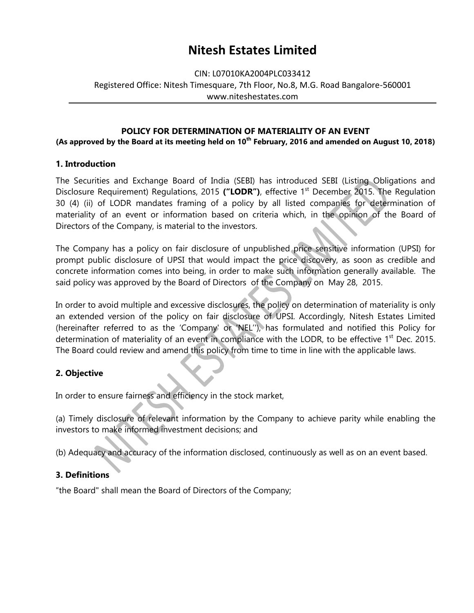## CIN: L07010KA2004PLC033412 Registered Office: Nitesh Timesquare, 7th Floor, No.8, M.G. Road Bangalore-560001 www.niteshestates.com

### **POLICY FOR DETERMINATION OF MATERIALITY OF AN EVENT**

**(As approved by the Board at its meeting held on 10th February, 2016 and amended on August 10, 2018)**

#### **1. Introduction**

The Securities and Exchange Board of India (SEBI) has introduced SEBI (Listing Obligations and Disclosure Requirement) Regulations, 2015 **("LODR")**, effective 1st December 2015. The Regulation 30 (4) (ii) of LODR mandates framing of a policy by all listed companies for determination of materiality of an event or information based on criteria which, in the opinion of the Board of Directors of the Company, is material to the investors.

The Company has a policy on fair disclosure of unpublished price sensitive information (UPSI) for prompt public disclosure of UPSI that would impact the price discovery, as soon as credible and concrete information comes into being, in order to make such information generally available. The said policy was approved by the Board of Directors of the Company on May 28, 2015.

In order to avoid multiple and excessive disclosures, the policy on determination of materiality is only an extended version of the policy on fair disclosure of UPSI. Accordingly, Nitesh Estates Limited (hereinafter referred to as the "Company' or 'NEL"'), has formulated and notified this Policy for determination of materiality of an event in compliance with the LODR, to be effective 1<sup>st</sup> Dec. 2015. The Board could review and amend this policy from time to time in line with the applicable laws.

### **2. Objective**

In order to ensure fairness and efficiency in the stock market,

(a) Timely disclosure of relevant information by the Company to achieve parity while enabling the investors to make informed investment decisions; and

(b) Adequacy and accuracy of the information disclosed, continuously as well as on an event based.

### **3. Definitions**

"the Board" shall mean the Board of Directors of the Company;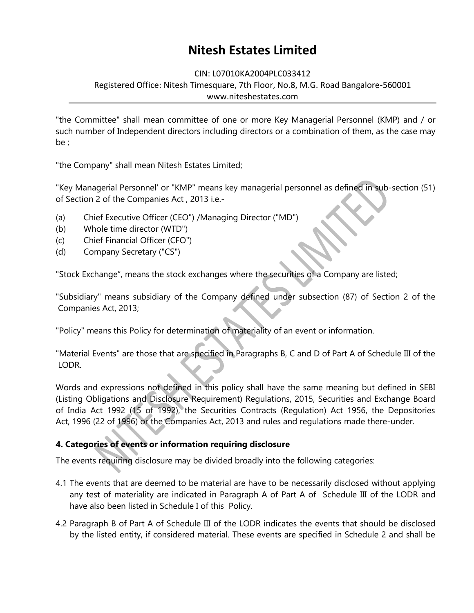CIN: L07010KA2004PLC033412

Registered Office: Nitesh Timesquare, 7th Floor, No.8, M.G. Road Bangalore-560001 www.niteshestates.com

"the Committee" shall mean committee of one or more Key Managerial Personnel (KMP) and / or such number of Independent directors including directors or a combination of them, as the case may be ;

"the Company" shall mean Nitesh Estates Limited;

"Key Managerial Personnel' or "KMP" means key managerial personnel as defined in sub-section (51) of Section 2 of the Companies Act , 2013 i.e.-

- (a) Chief Executive Officer (CEO") /Managing Director ("MD")
- (b) Whole time director (WTD")
- (c) Chief Financial Officer (CFO")
- (d) Company Secretary ("CS")

"Stock Exchange", means the stock exchanges where the securities of a Company are listed;

"Subsidiary" means subsidiary of the Company defined under subsection (87) of Section 2 of the Companies Act, 2013;

"Policy" means this Policy for determination of materiality of an event or information.

"Material Events" are those that are specified in Paragraphs B, C and D of Part A of Schedule III of the LODR.

Words and expressions not defined in this policy shall have the same meaning but defined in SEBI (Listing Obligations and Disclosure Requirement) Regulations, 2015, Securities and Exchange Board of India Act 1992 (15 of 1992), the Securities Contracts (Regulation) Act 1956, the Depositories Act, 1996 (22 of 1996) or the Companies Act, 2013 and rules and regulations made there-under.

## **4. Categories of events or information requiring disclosure**

The events requiring disclosure may be divided broadly into the following categories:

- 4.1 The events that are deemed to be material are have to be necessarily disclosed without applying any test of materiality are indicated in Paragraph A of Part A of Schedule III of the LODR and have also been listed in Schedule I of this Policy.
- 4.2 Paragraph B of Part A of Schedule III of the LODR indicates the events that should be disclosed by the listed entity, if considered material. These events are specified in Schedule 2 and shall be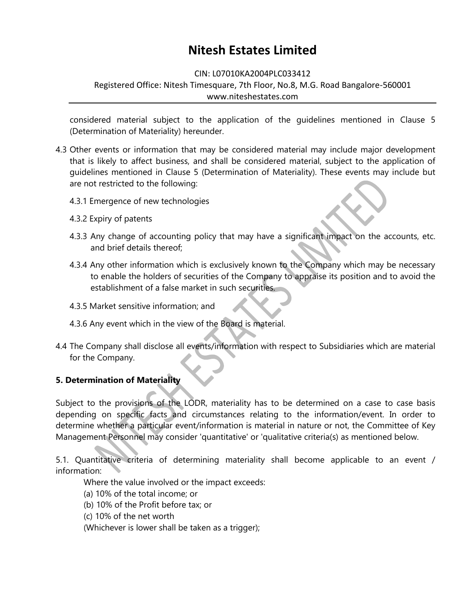#### CIN: L07010KA2004PLC033412

### Registered Office: Nitesh Timesquare, 7th Floor, No.8, M.G. Road Bangalore-560001 www.niteshestates.com

considered material subject to the application of the guidelines mentioned in Clause 5 (Determination of Materiality) hereunder.

- 4.3 Other events or information that may be considered material may include major development that is likely to affect business, and shall be considered material, subject to the application of guidelines mentioned in Clause 5 (Determination of Materiality). These events may include but are not restricted to the following:
	- 4.3.1 Emergence of new technologies
	- 4.3.2 Expiry of patents
	- 4.3.3 Any change of accounting policy that may have a significant impact on the accounts, etc. and brief details thereof;
	- 4.3.4 Any other information which is exclusively known to the Company which may be necessary to enable the holders of securities of the Company to appraise its position and to avoid the establishment of a false market in such securities.
	- 4.3.5 Market sensitive information; and
	- 4.3.6 Any event which in the view of the Board is material.
- 4.4 The Company shall disclose all events/information with respect to Subsidiaries which are material for the Company.

## **5. Determination of Materiality**

Subject to the provisions of the LODR, materiality has to be determined on a case to case basis depending on specific facts and circumstances relating to the information/event. In order to determine whether a particular event/information is material in nature or not, the Committee of Key Management Personnel may consider 'quantitative' or 'qualitative criteria(s) as mentioned below.

5.1. Quantitative criteria of determining materiality shall become applicable to an event / information:

Where the value involved or the impact exceeds:

- (a) 10% of the total income; or
- (b) 10% of the Profit before tax; or
- (c) 10% of the net worth

(Whichever is lower shall be taken as a trigger);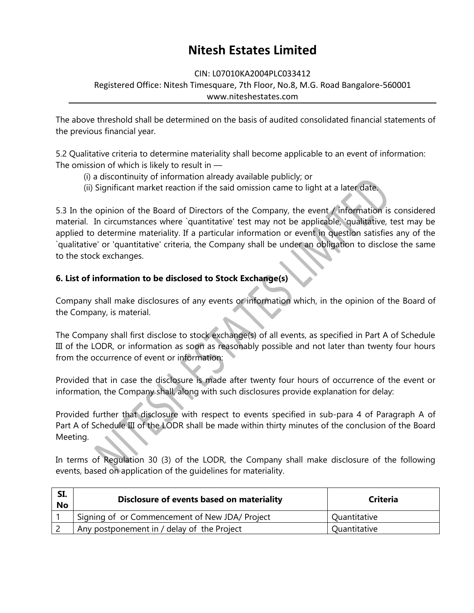#### CIN: L07010KA2004PLC033412

### Registered Office: Nitesh Timesquare, 7th Floor, No.8, M.G. Road Bangalore-560001 www.niteshestates.com

The above threshold shall be determined on the basis of audited consolidated financial statements of the previous financial year.

5.2 Qualitative criteria to determine materiality shall become applicable to an event of information: The omission of which is likely to result in —

- (i) a discontinuity of information already available publicly; or
- (ii) Significant market reaction if the said omission came to light at a later date.

5.3 In the opinion of the Board of Directors of the Company, the event / information is considered material. In circumstances where `quantitative' test may not be applicable, 'qualitative, test may be applied to determine materiality. If a particular information or event in question satisfies any of the `qualitative' or 'quantitative' criteria, the Company shall be under an obligation to disclose the same to the stock exchanges.

## **6. List of information to be disclosed to Stock Exchange(s)**

Company shall make disclosures of any events or information which, in the opinion of the Board of the Company, is material.

The Company shall first disclose to stock exchange(s) of all events, as specified in Part A of Schedule III of the LODR, or information as soon as reasonably possible and not later than twenty four hours from the occurrence of event or information:

Provided that in case the disclosure is made after twenty four hours of occurrence of the event or information, the Company shall, along with such disclosures provide explanation for delay:

Provided further that disclosure with respect to events specified in sub-para 4 of Paragraph A of Part A of Schedule III of the LODR shall be made within thirty minutes of the conclusion of the Board Meeting.

In terms of Regulation 30 (3) of the LODR, the Company shall make disclosure of the following events, based on application of the guidelines for materiality.

| SI.<br>No | Disclosure of events based on materiality      | <b>Criteria</b> |
|-----------|------------------------------------------------|-----------------|
|           | Signing of or Commencement of New JDA/ Project | Quantitative    |
|           | Any postponement in / delay of the Project     | Quantitative    |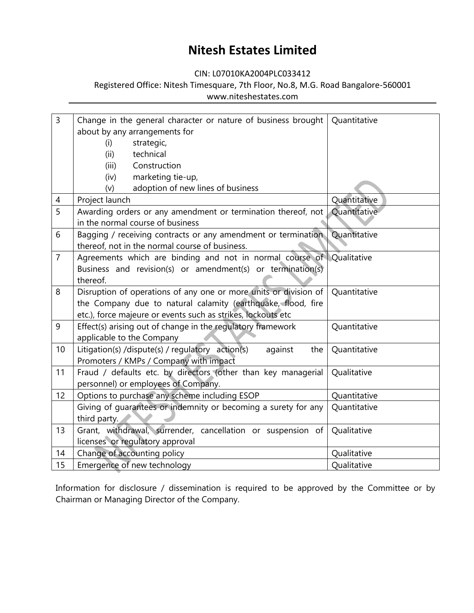CIN: L07010KA2004PLC033412

## Registered Office: Nitesh Timesquare, 7th Floor, No.8, M.G. Road Bangalore-560001 www.niteshestates.com

| $\overline{3}$ | Change in the general character or nature of business brought        | Quantitative |  |  |  |
|----------------|----------------------------------------------------------------------|--------------|--|--|--|
|                | about by any arrangements for                                        |              |  |  |  |
|                | strategic,<br>(i)                                                    |              |  |  |  |
|                | technical<br>(ii)                                                    |              |  |  |  |
|                | Construction<br>(iii)                                                |              |  |  |  |
|                | marketing tie-up,<br>(iv)                                            |              |  |  |  |
|                | adoption of new lines of business<br>(v)                             |              |  |  |  |
| 4              | Project launch                                                       | Quantitative |  |  |  |
| $\overline{5}$ | Awarding orders or any amendment or termination thereof, not         | Quantitative |  |  |  |
|                | in the normal course of business                                     |              |  |  |  |
| 6              | Bagging / receiving contracts or any amendment or termination        | Quantitative |  |  |  |
|                | thereof, not in the normal course of business.                       |              |  |  |  |
| $\overline{7}$ | Agreements which are binding and not in normal course of Qualitative |              |  |  |  |
|                | Business and revision(s) or amendment(s) or termination(s)           |              |  |  |  |
|                | thereof.                                                             |              |  |  |  |
| 8              | Disruption of operations of any one or more units or division of     | Quantitative |  |  |  |
|                | the Company due to natural calamity (earthquake, flood, fire         |              |  |  |  |
|                | etc.), force majeure or events such as strikes, lockouts etc         |              |  |  |  |
| 9              | Effect(s) arising out of change in the regulatory framework          | Quantitative |  |  |  |
|                | applicable to the Company                                            |              |  |  |  |
| 10             | Litigation(s) /dispute(s) / regulatory action(s)<br>against<br>the   | Quantitative |  |  |  |
|                | Promoters / KMPs / Company with impact                               |              |  |  |  |
| 11             | Fraud / defaults etc. by directors (other than key managerial        | Qualitative  |  |  |  |
|                | personnel) or employees of Company.                                  |              |  |  |  |
| 12             | Options to purchase any scheme including ESOP                        | Quantitative |  |  |  |
|                | Giving of quarantees or indemnity or becoming a surety for any       | Quantitative |  |  |  |
|                | third party.                                                         |              |  |  |  |
| 13             | Grant, withdrawal, surrender, cancellation or suspension of          | Qualitative  |  |  |  |
|                | licenses or regulatory approval                                      |              |  |  |  |
| 14             | Change of accounting policy                                          | Qualitative  |  |  |  |
| 15             | Emergence of new technology                                          | Qualitative  |  |  |  |

Information for disclosure / dissemination is required to be approved by the Committee or by Chairman or Managing Director of the Company.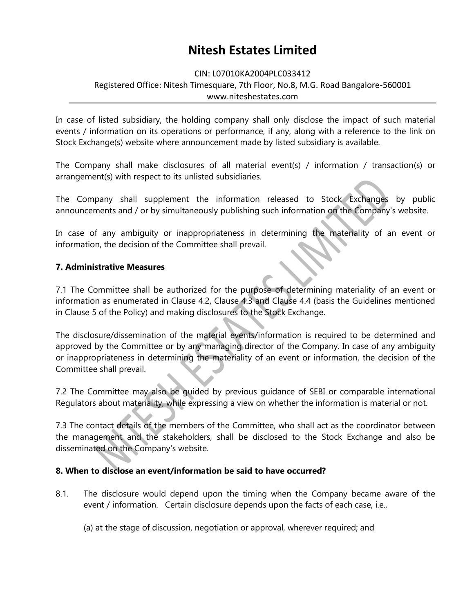#### CIN: L07010KA2004PLC033412

## Registered Office: Nitesh Timesquare, 7th Floor, No.8, M.G. Road Bangalore-560001 www.niteshestates.com

In case of listed subsidiary, the holding company shall only disclose the impact of such material events / information on its operations or performance, if any, along with a reference to the link on Stock Exchange(s) website where announcement made by listed subsidiary is available.

The Company shall make disclosures of all material event(s) / information / transaction(s) or arrangement(s) with respect to its unlisted subsidiaries.

The Company shall supplement the information released to Stock Exchanges by public announcements and / or by simultaneously publishing such information on the Company's website.

In case of any ambiguity or inappropriateness in determining the materiality of an event or information, the decision of the Committee shall prevail.

### **7. Administrative Measures**

7.1 The Committee shall be authorized for the purpose of determining materiality of an event or information as enumerated in Clause 4.2, Clause 4.3 and Clause 4.4 (basis the Guidelines mentioned in Clause 5 of the Policy) and making disclosures to the Stock Exchange.

The disclosure/dissemination of the material events/information is required to be determined and approved by the Committee or by any managing director of the Company. In case of any ambiguity or inappropriateness in determining the materiality of an event or information, the decision of the Committee shall prevail.

7.2 The Committee may also be guided by previous guidance of SEBI or comparable international Regulators about materiality, while expressing a view on whether the information is material or not.

7.3 The contact details of the members of the Committee, who shall act as the coordinator between the management and the stakeholders, shall be disclosed to the Stock Exchange and also be disseminated on the Company's website.

## **8. When to disclose an event/information be said to have occurred?**

8.1. The disclosure would depend upon the timing when the Company became aware of the event / information. Certain disclosure depends upon the facts of each case, i.e.,

(a) at the stage of discussion, negotiation or approval, wherever required; and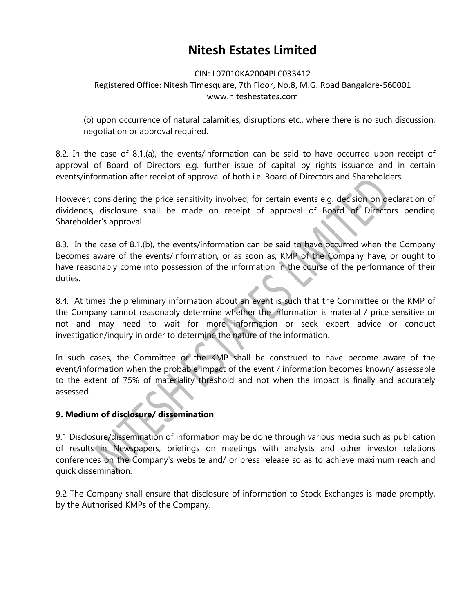#### CIN: L07010KA2004PLC033412

### Registered Office: Nitesh Timesquare, 7th Floor, No.8, M.G. Road Bangalore-560001 www.niteshestates.com

(b) upon occurrence of natural calamities, disruptions etc., where there is no such discussion, negotiation or approval required.

8.2. In the case of 8.1.(a), the events/information can be said to have occurred upon receipt of approval of Board of Directors e.g. further issue of capital by rights issuance and in certain events/information after receipt of approval of both i.e. Board of Directors and Shareholders.

However, considering the price sensitivity involved, for certain events e.g. decision on declaration of dividends, disclosure shall be made on receipt of approval of Board of Directors pending Shareholder's approval.

8.3. In the case of 8.1.(b), the events/information can be said to have occurred when the Company becomes aware of the events/information, or as soon as, KMP of the Company have, or ought to have reasonably come into possession of the information in the course of the performance of their duties.

8.4. At times the preliminary information about an event is such that the Committee or the KMP of the Company cannot reasonably determine whether the information is material / price sensitive or not and may need to wait for more information or seek expert advice or conduct investigation/inquiry in order to determine the nature of the information.

In such cases, the Committee or the KMP shall be construed to have become aware of the event/information when the probable impact of the event / information becomes known/ assessable to the extent of 75% of materiality threshold and not when the impact is finally and accurately assessed.

## **9. Medium of disclosure/ dissemination**

9.1 Disclosure/dissemination of information may be done through various media such as publication of results in Newspapers, briefings on meetings with analysts and other investor relations conferences on the Company's website and/ or press release so as to achieve maximum reach and quick dissemination.

9.2 The Company shall ensure that disclosure of information to Stock Exchanges is made promptly, by the Authorised KMPs of the Company.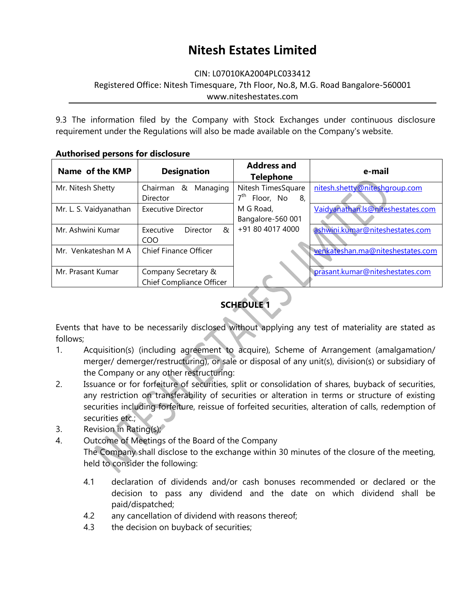CIN: L07010KA2004PLC033412

Registered Office: Nitesh Timesquare, 7th Floor, No.8, M.G. Road Bangalore-560001 www.niteshestates.com

9.3 The information filed by the Company with Stock Exchanges under continuous disclosure requirement under the Regulations will also be made available on the Company's website.

| Name of the KMP        | <b>Designation</b>                              | <b>Address and</b><br><b>Telephone</b>                   | e-mail                            |
|------------------------|-------------------------------------------------|----------------------------------------------------------|-----------------------------------|
| Mr. Nitesh Shetty      | Chairman &<br>Managing<br>Director              | Nitesh TimesSquare<br>7 <sup>th</sup><br>Floor, No<br>8, | nitesh.shetty@niteshgroup.com     |
| Mr. L. S. Vaidyanathan | Executive Director                              | M G Road,<br>Bangalore-560 001                           | Vaidyanathan.Is@niteshestates.com |
| Mr. Ashwini Kumar      | R,<br>Director<br>Executive<br>COO              | +91 80 4017 4000                                         | ashwini.kumar@niteshestates.com   |
| Mr. Venkateshan M A    | <b>Chief Finance Officer</b>                    |                                                          | venkateshan.ma@niteshestates.com  |
| Mr. Prasant Kumar      | Company Secretary &<br>Chief Compliance Officer |                                                          | prasant.kumar@niteshestates.com   |

### **Authorised persons for disclosure**



Events that have to be necessarily disclosed without applying any test of materiality are stated as follows;

- 1. Acquisition(s) (including agreement to acquire), Scheme of Arrangement (amalgamation/ merger/ demerger/restructuring), or sale or disposal of any unit(s), division(s) or subsidiary of the Company or any other restructuring:
- 2. Issuance or for forfeiture of securities, split or consolidation of shares, buyback of securities, any restriction on transferability of securities or alteration in terms or structure of existing securities including forfeiture, reissue of forfeited securities, alteration of calls, redemption of securities etc.;
- 3. Revision in Rating(s);
- 4. Outcome of Meetings of the Board of the Company The Company shall disclose to the exchange within 30 minutes of the closure of the meeting, held to consider the following:
	- 4.1 declaration of dividends and/or cash bonuses recommended or declared or the decision to pass any dividend and the date on which dividend shall be paid/dispatched;
	- 4.2 any cancellation of dividend with reasons thereof;
	- 4.3 the decision on buyback of securities;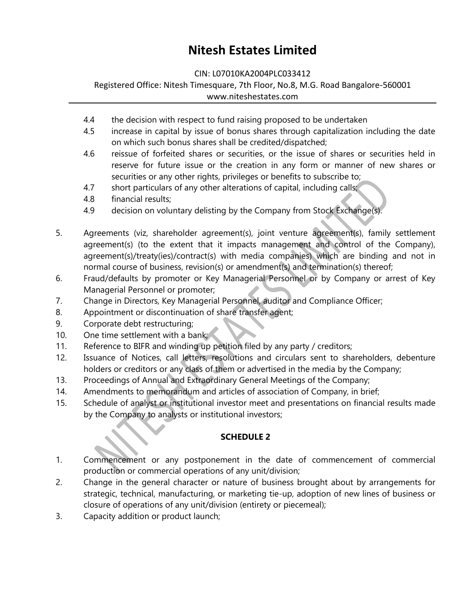CIN: L07010KA2004PLC033412

Registered Office: Nitesh Timesquare, 7th Floor, No.8, M.G. Road Bangalore-560001 www.niteshestates.com

- 4.4 the decision with respect to fund raising proposed to be undertaken
- 4.5 increase in capital by issue of bonus shares through capitalization including the date on which such bonus shares shall be credited/dispatched;
- 4.6 reissue of forfeited shares or securities, or the issue of shares or securities held in reserve for future issue or the creation in any form or manner of new shares or securities or any other rights, privileges or benefits to subscribe to;
- 4.7 short particulars of any other alterations of capital, including calls;
- 4.8 financial results;
- 4.9 decision on voluntary delisting by the Company from Stock Exchange(s).
- 5. Agreements (viz, shareholder agreement(s), joint venture agreement(s), family settlement agreement(s) (to the extent that it impacts management and control of the Company), agreement(s)/treaty(ies)/contract(s) with media companies) which are binding and not in normal course of business, revision(s) or amendment(s) and termination(s) thereof;
- 6. Fraud/defaults by promoter or Key Managerial Personnel or by Company or arrest of Key Managerial Personnel or promoter;
- 7. Change in Directors, Key Managerial Personnel, auditor and Compliance Officer;
- 8. Appointment or discontinuation of share transfer agent;
- 9. Corporate debt restructuring;
- 10. One time settlement with a bank;
- 11. Reference to BIFR and winding up petition filed by any party / creditors;
- 12. Issuance of Notices, call letters, resolutions and circulars sent to shareholders, debenture holders or creditors or any class of them or advertised in the media by the Company;
- 13. Proceedings of Annual and Extraordinary General Meetings of the Company;
- 14. Amendments to memorandum and articles of association of Company, in brief;
- 15. Schedule of analyst or institutional investor meet and presentations on financial results made by the Company to analysts or institutional investors;

## **SCHEDULE 2**

- 1. Commencement or any postponement in the date of commencement of commercial production or commercial operations of any unit/division;
- 2. Change in the general character or nature of business brought about by arrangements for strategic, technical, manufacturing, or marketing tie-up, adoption of new lines of business or closure of operations of any unit/division (entirety or piecemeal);
- 3. Capacity addition or product launch;